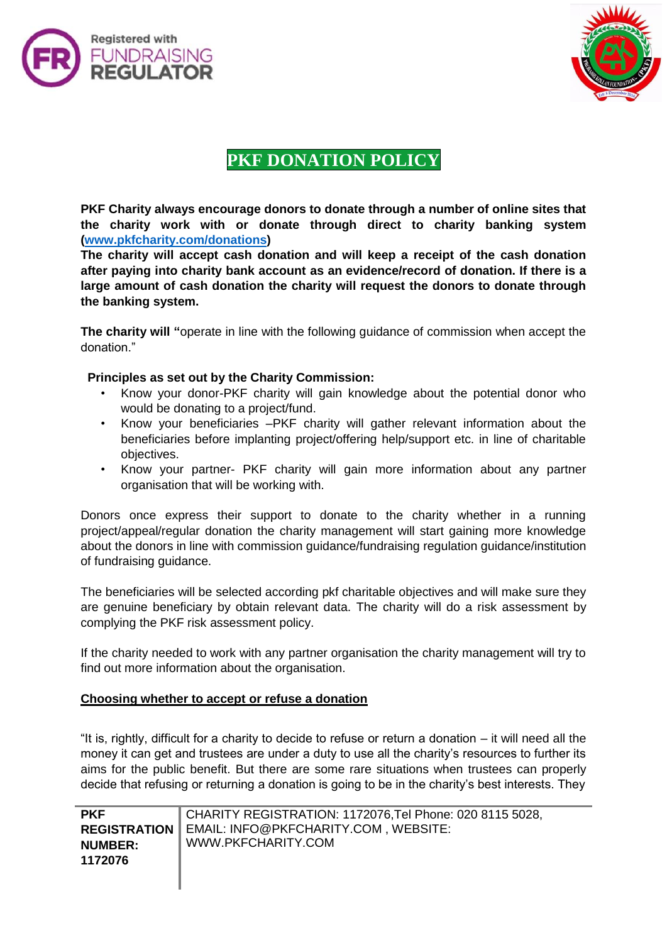



# **PKF DONATION POLICY**

**PKF Charity always encourage donors to donate through a number of online sites that the charity work with or donate through direct to charity banking system [\(www.pkfcharity.com/donations\)](http://www.pkfcharity.com/donations)**

**The charity will accept cash donation and will keep a receipt of the cash donation after paying into charity bank account as an evidence/record of donation. If there is a large amount of cash donation the charity will request the donors to donate through the banking system.** 

**The charity will "**operate in line with the following guidance of commission when accept the donation."

# **Principles as set out by the Charity Commission:**

- Know your donor-PKF charity will gain knowledge about the potential donor who would be donating to a project/fund.
- Know your beneficiaries –PKF charity will gather relevant information about the beneficiaries before implanting project/offering help/support etc. in line of charitable objectives.
- Know your partner- PKF charity will gain more information about any partner organisation that will be working with.

Donors once express their support to donate to the charity whether in a running project/appeal/regular donation the charity management will start gaining more knowledge about the donors in line with commission guidance/fundraising regulation guidance/institution of fundraising guidance.

The beneficiaries will be selected according pkf charitable objectives and will make sure they are genuine beneficiary by obtain relevant data. The charity will do a risk assessment by complying the PKF risk assessment policy.

If the charity needed to work with any partner organisation the charity management will try to find out more information about the organisation.

# **Choosing whether to accept or refuse a donation**

"It is, rightly, difficult for a charity to decide to refuse or return a donation – it will need all the money it can get and trustees are under a duty to use all the charity's resources to further its aims for the public benefit. But there are some rare situations when trustees can properly decide that refusing or returning a donation is going to be in the charity's best interests. They

| <b>PKF</b>          | CHARITY REGISTRATION: 1172076, Tel Phone: 020 8115 5028, |
|---------------------|----------------------------------------------------------|
| <b>REGISTRATION</b> | EMAIL: INFO@PKFCHARITY.COM, WEBSITE:                     |
| <b>NUMBER:</b>      | WWW.PKFCHARITY.COM                                       |
| 1172076             |                                                          |
|                     |                                                          |
|                     |                                                          |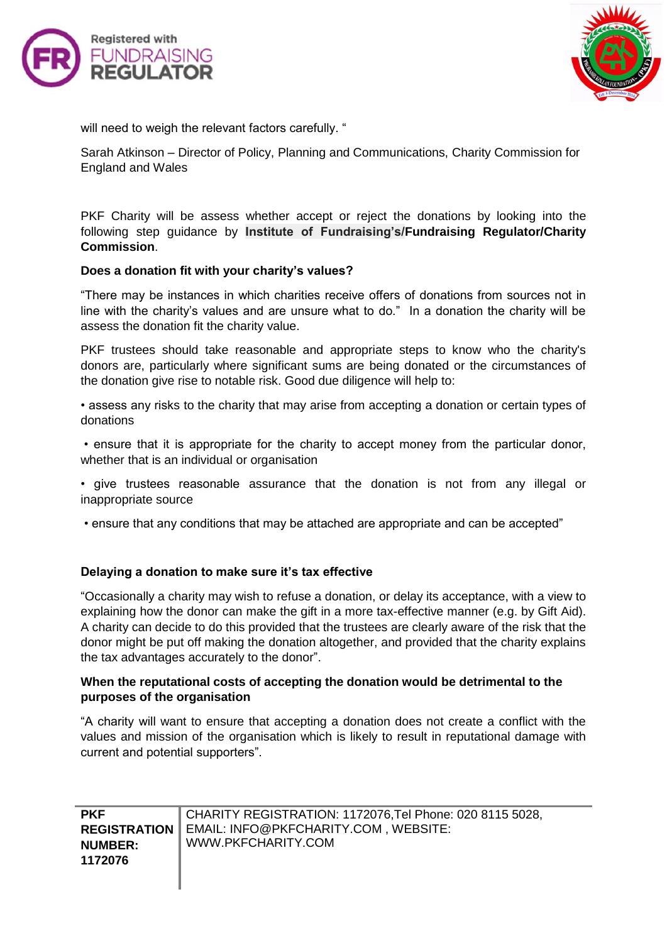



will need to weigh the relevant factors carefully. "

Sarah Atkinson – Director of Policy, Planning and Communications, Charity Commission for England and Wales

PKF Charity will be assess whether accept or reject the donations by looking into the following step guidance by **Institute of Fundraising's/Fundraising Regulator/Charity Commission**.

#### **Does a donation fit with your charity's values?**

"There may be instances in which charities receive offers of donations from sources not in line with the charity's values and are unsure what to do." In a donation the charity will be assess the donation fit the charity value.

PKF trustees should take reasonable and appropriate steps to know who the charity's donors are, particularly where significant sums are being donated or the circumstances of the donation give rise to notable risk. Good due diligence will help to:

• assess any risks to the charity that may arise from accepting a donation or certain types of donations

• ensure that it is appropriate for the charity to accept money from the particular donor, whether that is an individual or organisation

• give trustees reasonable assurance that the donation is not from any illegal or inappropriate source

• ensure that any conditions that may be attached are appropriate and can be accepted"

#### **Delaying a donation to make sure it's tax effective**

"Occasionally a charity may wish to refuse a donation, or delay its acceptance, with a view to explaining how the donor can make the gift in a more tax-effective manner (e.g. by Gift Aid). A charity can decide to do this provided that the trustees are clearly aware of the risk that the donor might be put off making the donation altogether, and provided that the charity explains the tax advantages accurately to the donor".

#### **When the reputational costs of accepting the donation would be detrimental to the purposes of the organisation**

"A charity will want to ensure that accepting a donation does not create a conflict with the values and mission of the organisation which is likely to result in reputational damage with current and potential supporters".

| <b>PKF</b>            | CHARITY REGISTRATION: 1172076, Tel Phone: 020 8115 5028, |
|-----------------------|----------------------------------------------------------|
| <b>REGISTRATION I</b> | EMAIL: INFO@PKFCHARITY.COM, WEBSITE:                     |
| <b>NUMBER:</b>        | WWW.PKFCHARITY.COM                                       |
| 1172076               |                                                          |
|                       |                                                          |
|                       |                                                          |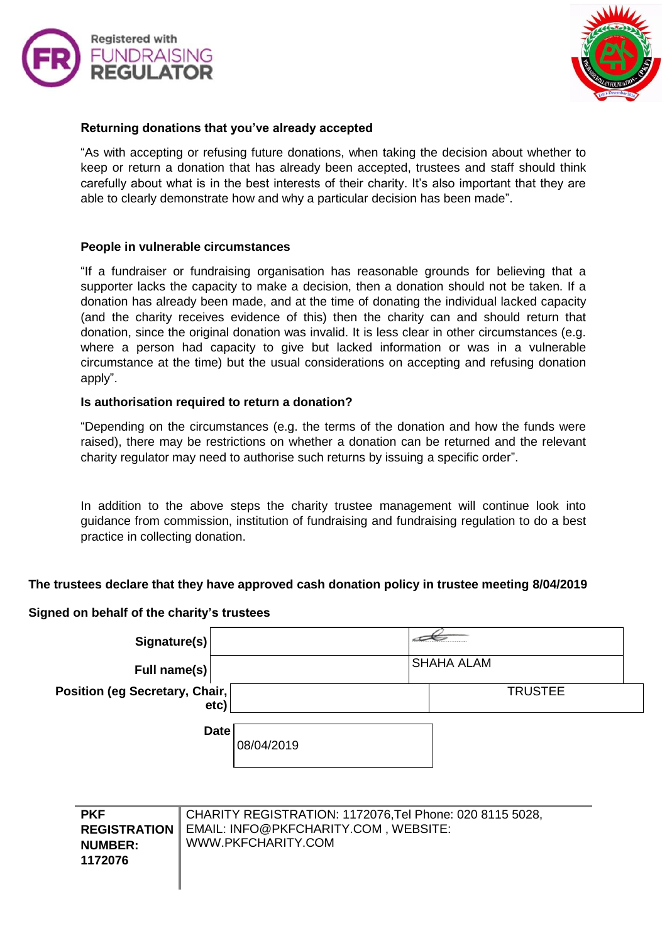



# **Returning donations that you've already accepted**

"As with accepting or refusing future donations, when taking the decision about whether to keep or return a donation that has already been accepted, trustees and staff should think carefully about what is in the best interests of their charity. It's also important that they are able to clearly demonstrate how and why a particular decision has been made".

#### **People in vulnerable circumstances**

"If a fundraiser or fundraising organisation has reasonable grounds for believing that a supporter lacks the capacity to make a decision, then a donation should not be taken. If a donation has already been made, and at the time of donating the individual lacked capacity (and the charity receives evidence of this) then the charity can and should return that donation, since the original donation was invalid. It is less clear in other circumstances (e.g. where a person had capacity to give but lacked information or was in a vulnerable circumstance at the time) but the usual considerations on accepting and refusing donation apply".

#### **Is authorisation required to return a donation?**

"Depending on the circumstances (e.g. the terms of the donation and how the funds were raised), there may be restrictions on whether a donation can be returned and the relevant charity regulator may need to authorise such returns by issuing a specific order".

In addition to the above steps the charity trustee management will continue look into guidance from commission, institution of fundraising and fundraising regulation to do a best practice in collecting donation.

# **The trustees declare that they have approved cash donation policy in trustee meeting 8/04/2019**

# **Signed on behalf of the charity's trustees**

| Signature(s)                           |            |                   |  |
|----------------------------------------|------------|-------------------|--|
| Full name(s)                           |            | <b>SHAHA ALAM</b> |  |
| Position (eg Secretary, Chair,<br>etc) |            | <b>TRUSTEE</b>    |  |
| <b>Date</b>                            | 08/04/2019 |                   |  |

| <b>PKF</b>     | CHARITY REGISTRATION: 1172076, Tel Phone: 020 8115 5028,   |
|----------------|------------------------------------------------------------|
|                | <b>REGISTRATION   EMAIL: INFO@PKFCHARITY.COM, WEBSITE:</b> |
| <b>NUMBER:</b> | WWW.PKFCHARITY.COM                                         |
| 1172076        |                                                            |
|                |                                                            |